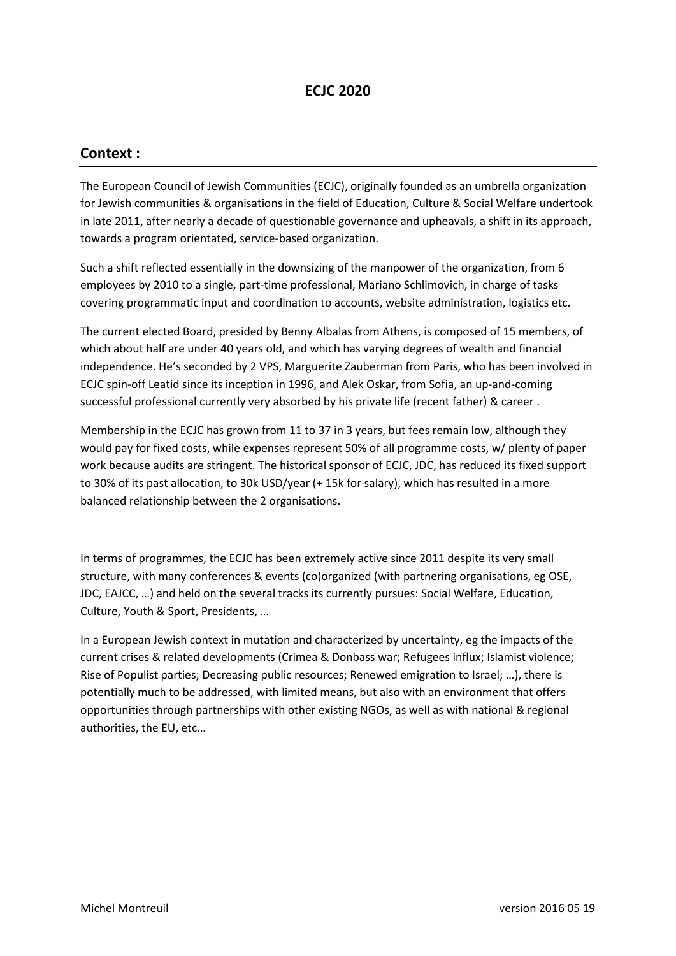# ECJC 2020

## Context :

The European Council of Jewish Communities (ECJC), originally founded as an umbrella organization for Jewish communities & organisations in the field of Education, Culture & Social Welfare undertook in late 2011, after nearly a decade of questionable governance and upheavals, a shift in its approach, towards a program orientated, service-based organization.

Such a shift reflected essentially in the downsizing of the manpower of the organization, from 6 employees by 2010 to a single, part-time professional, Mariano Schlimovich, in charge of tasks covering programmatic input and coordination to accounts, website administration, logistics etc.

The current elected Board, presided by Benny Albalas from Athens, is composed of 15 members, of which about half are under 40 years old, and which has varying degrees of wealth and financial independence. He's seconded by 2 VPS, Marguerite Zauberman from Paris, who has been involved in ECJC spin-off Leatid since its inception in 1996, and Alek Oskar, from Sofia, an up-and-coming successful professional currently very absorbed by his private life (recent father) & career .

Membership in the ECJC has grown from 11 to 37 in 3 years, but fees remain low, although they would pay for fixed costs, while expenses represent 50% of all programme costs, w/ plenty of paper work because audits are stringent. The historical sponsor of ECJC, JDC, has reduced its fixed support to 30% of its past allocation, to 30k USD/year (+ 15k for salary), which has resulted in a more balanced relationship between the 2 organisations.

In terms of programmes, the ECJC has been extremely active since 2011 despite its very small structure, with many conferences & events (co)organized (with partnering organisations, eg OSE, JDC, EAJCC, …) and held on the several tracks its currently pursues: Social Welfare, Education, Culture, Youth & Sport, Presidents, …

In a European Jewish context in mutation and characterized by uncertainty, eg the impacts of the current crises & related developments (Crimea & Donbass war; Refugees influx; Islamist violence; Rise of Populist parties; Decreasing public resources; Renewed emigration to Israel; …), there is potentially much to be addressed, with limited means, but also with an environment that offers opportunities through partnerships with other existing NGOs, as well as with national & regional authorities, the EU, etc…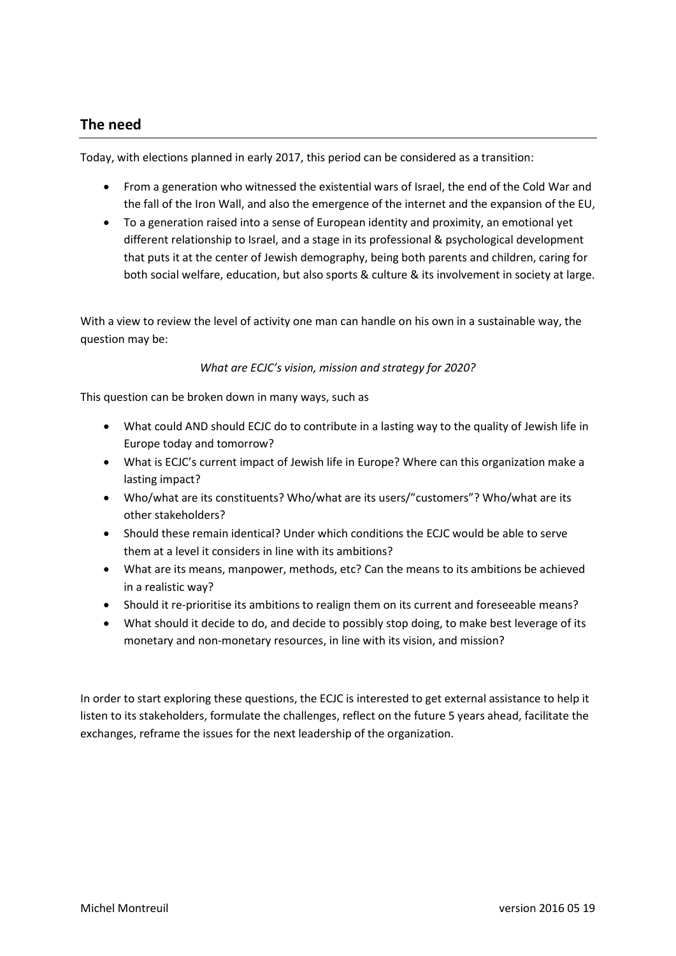## The need

Today, with elections planned in early 2017, this period can be considered as a transition:

- From a generation who witnessed the existential wars of Israel, the end of the Cold War and the fall of the Iron Wall, and also the emergence of the internet and the expansion of the EU,
- To a generation raised into a sense of European identity and proximity, an emotional yet different relationship to Israel, and a stage in its professional & psychological development that puts it at the center of Jewish demography, being both parents and children, caring for both social welfare, education, but also sports & culture & its involvement in society at large.

With a view to review the level of activity one man can handle on his own in a sustainable way, the question may be:

### What are ECJC's vision, mission and strategy for 2020?

This question can be broken down in many ways, such as

- What could AND should ECJC do to contribute in a lasting way to the quality of Jewish life in Europe today and tomorrow?
- What is ECJC's current impact of Jewish life in Europe? Where can this organization make a lasting impact?
- Who/what are its constituents? Who/what are its users/"customers"? Who/what are its other stakeholders?
- Should these remain identical? Under which conditions the ECJC would be able to serve them at a level it considers in line with its ambitions?
- What are its means, manpower, methods, etc? Can the means to its ambitions be achieved in a realistic way?
- Should it re-prioritise its ambitions to realign them on its current and foreseeable means?
- What should it decide to do, and decide to possibly stop doing, to make best leverage of its monetary and non-monetary resources, in line with its vision, and mission?

In order to start exploring these questions, the ECJC is interested to get external assistance to help it listen to its stakeholders, formulate the challenges, reflect on the future 5 years ahead, facilitate the exchanges, reframe the issues for the next leadership of the organization.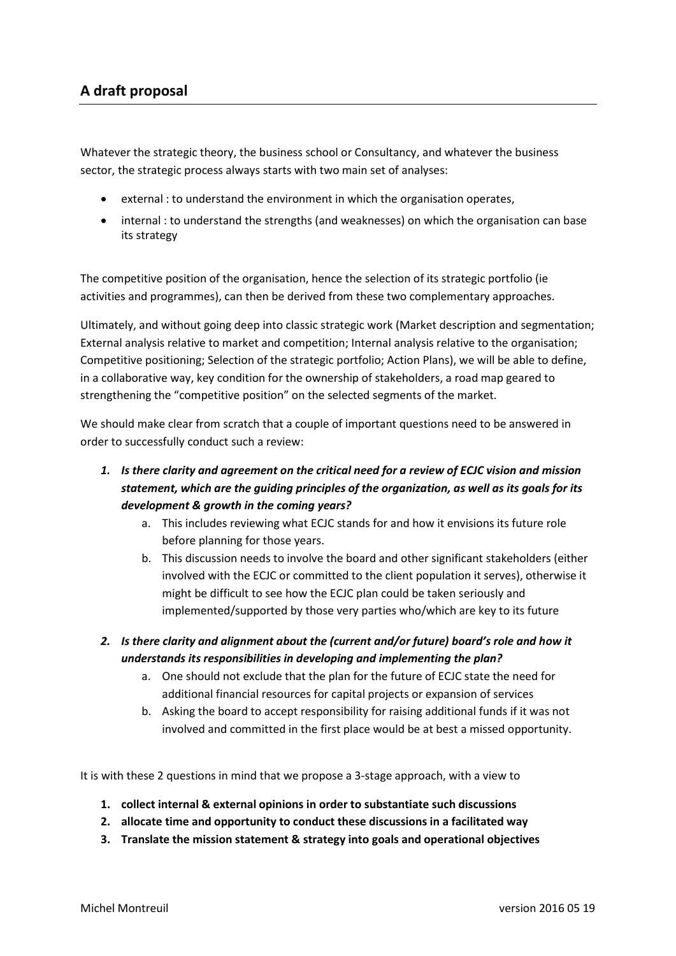# A draft proposal

Whatever the strategic theory, the business school or Consultancy, and whatever the business sector, the strategic process always starts with two main set of analyses:

- external : to understand the environment in which the organisation operates,
- internal : to understand the strengths (and weaknesses) on which the organisation can base its strategy

The competitive position of the organisation, hence the selection of its strategic portfolio (ie activities and programmes), can then be derived from these two complementary approaches.

Ultimately, and without going deep into classic strategic work (Market description and segmentation; External analysis relative to market and competition; Internal analysis relative to the organisation; Competitive positioning; Selection of the strategic portfolio; Action Plans), we will be able to define, in a collaborative way, key condition for the ownership of stakeholders, a road map geared to strengthening the "competitive position" on the selected segments of the market.

We should make clear from scratch that a couple of important questions need to be answered in order to successfully conduct such a review:

## 1. Is there clarity and agreement on the critical need for a review of ECJC vision and mission statement, which are the guiding principles of the organization, as well as its goals for its development & growth in the coming years?

- a. This includes reviewing what ECJC stands for and how it envisions its future role before planning for those years.
- b. This discussion needs to involve the board and other significant stakeholders (either involved with the ECJC or committed to the client population it serves), otherwise it might be difficult to see how the ECJC plan could be taken seriously and implemented/supported by those very parties who/which are key to its future
- 2. Is there clarity and alignment about the (current and/or future) board's role and how it understands its responsibilities in developing and implementing the plan?
	- a. One should not exclude that the plan for the future of ECJC state the need for additional financial resources for capital projects or expansion of services
	- b. Asking the board to accept responsibility for raising additional funds if it was not involved and committed in the first place would be at best a missed opportunity.

It is with these 2 questions in mind that we propose a 3-stage approach, with a view to

- 1. collect internal & external opinions in order to substantiate such discussions
- 2. allocate time and opportunity to conduct these discussions in a facilitated way
- 3. Translate the mission statement & strategy into goals and operational objectives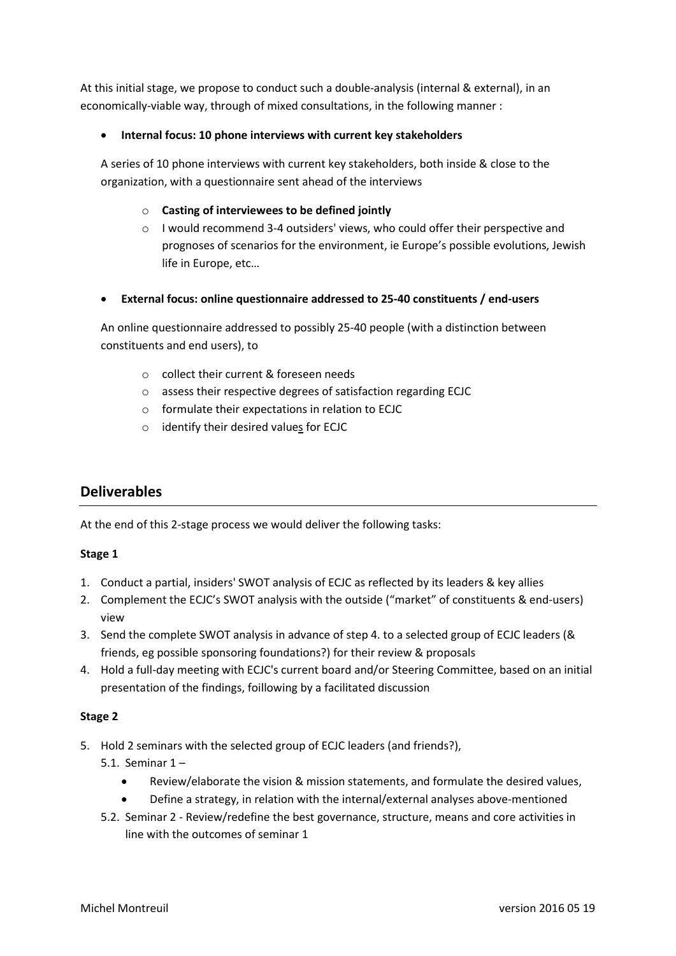At this initial stage, we propose to conduct such a double-analysis (internal & external), in an economically-viable way, through of mixed consultations, in the following manner :

### Internal focus: 10 phone interviews with current key stakeholders

A series of 10 phone interviews with current key stakeholders, both inside & close to the organization, with a questionnaire sent ahead of the interviews

### o Casting of interviewees to be defined jointly

o I would recommend 3-4 outsiders' views, who could offer their perspective and prognoses of scenarios for the environment, ie Europe's possible evolutions, Jewish life in Europe, etc…

### External focus: online questionnaire addressed to 25-40 constituents / end-users

An online questionnaire addressed to possibly 25-40 people (with a distinction between constituents and end users), to

- o collect their current & foreseen needs
- o assess their respective degrees of satisfaction regarding ECJC
- o formulate their expectations in relation to ECJC
- o identify their desired values for ECJC

## Deliverables

At the end of this 2-stage process we would deliver the following tasks:

#### Stage 1

- 1. Conduct a partial, insiders' SWOT analysis of ECJC as reflected by its leaders & key allies
- 2. Complement the ECJC's SWOT analysis with the outside ("market" of constituents & end-users) view
- 3. Send the complete SWOT analysis in advance of step 4. to a selected group of ECJC leaders (& friends, eg possible sponsoring foundations?) for their review & proposals
- 4. Hold a full-day meeting with ECJC's current board and/or Steering Committee, based on an initial presentation of the findings, foillowing by a facilitated discussion

#### Stage 2

- 5. Hold 2 seminars with the selected group of ECJC leaders (and friends?),
	- 5.1. Seminar 1
		- Review/elaborate the vision & mission statements, and formulate the desired values,
		- Define a strategy, in relation with the internal/external analyses above-mentioned
	- 5.2. Seminar 2 Review/redefine the best governance, structure, means and core activities in line with the outcomes of seminar 1